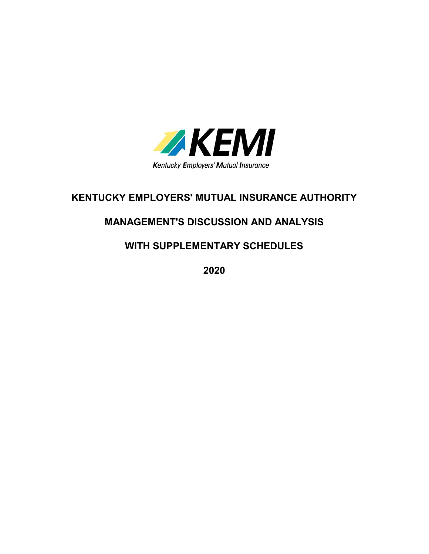

# KENTUCKY EMPLOYERS' MUTUAL INSURANCE AUTHORITY

# MANAGEMENT'S DISCUSSION AND ANALYSIS

## WITH SUPPLEMENTARY SCHEDULES

2020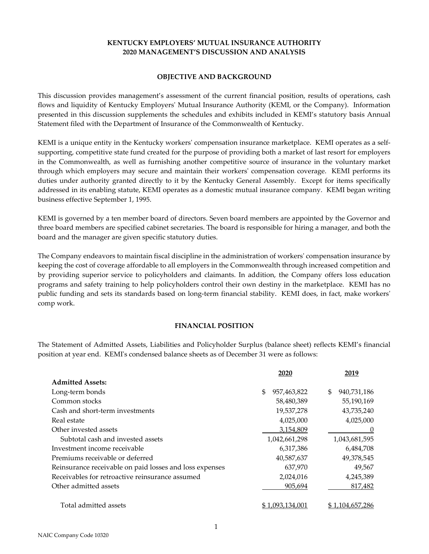#### OBJECTIVE AND BACKGROUND

This discussion provides management's assessment of the current financial position, results of operations, cash flows and liquidity of Kentucky Employers' Mutual Insurance Authority (KEMI, or the Company). Information presented in this discussion supplements the schedules and exhibits included in KEMI's statutory basis Annual Statement filed with the Department of Insurance of the Commonwealth of Kentucky.

KEMI is a unique entity in the Kentucky workers' compensation insurance marketplace. KEMI operates as a selfsupporting, competitive state fund created for the purpose of providing both a market of last resort for employers in the Commonwealth, as well as furnishing another competitive source of insurance in the voluntary market through which employers may secure and maintain their workers' compensation coverage. KEMI performs its duties under authority granted directly to it by the Kentucky General Assembly. Except for items specifically addressed in its enabling statute, KEMI operates as a domestic mutual insurance company. KEMI began writing business effective September 1, 1995.

KEMI is governed by a ten member board of directors. Seven board members are appointed by the Governor and three board members are specified cabinet secretaries. The board is responsible for hiring a manager, and both the board and the manager are given specific statutory duties.

The Company endeavors to maintain fiscal discipline in the administration of workers' compensation insurance by keeping the cost of coverage affordable to all employers in the Commonwealth through increased competition and by providing superior service to policyholders and claimants. In addition, the Company offers loss education programs and safety training to help policyholders control their own destiny in the marketplace. KEMI has no public funding and sets its standards based on long-term financial stability. KEMI does, in fact, make workers' comp work.

#### FINANCIAL POSITION

The Statement of Admitted Assets, Liabilities and Policyholder Surplus (balance sheet) reflects KEMI's financial position at year end. KEMI's condensed balance sheets as of December 31 were as follows:

|                                                         | 2020               | 2019              |
|---------------------------------------------------------|--------------------|-------------------|
| <b>Admitted Assets:</b>                                 |                    |                   |
| Long-term bonds                                         | \$.<br>957,463,822 | \$<br>940,731,186 |
| Common stocks                                           | 58,480,389         | 55,190,169        |
| Cash and short-term investments                         | 19,537,278         | 43,735,240        |
| Real estate                                             | 4,025,000          | 4,025,000         |
| Other invested assets                                   | 3,154,809          | $\left( \right)$  |
| Subtotal cash and invested assets                       | 1,042,661,298      | 1,043,681,595     |
| Investment income receivable                            | 6,317,386          | 6,484,708         |
| Premiums receivable or deferred                         | 40,587,637         | 49,378,545        |
| Reinsurance receivable on paid losses and loss expenses | 637,970            | 49,567            |
| Receivables for retroactive reinsurance assumed         | 2,024,016          | 4,245,389         |
| Other admitted assets                                   | 905,694            | 817,482           |
| Total admitted assets                                   | 1.093.134.001      | \$1,104,657,286   |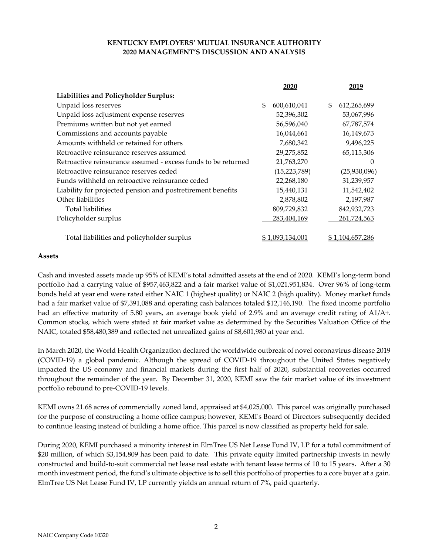|                                                               | 2020              | 2019              |
|---------------------------------------------------------------|-------------------|-------------------|
| Liabilities and Policyholder Surplus:                         |                   |                   |
| Unpaid loss reserves                                          | \$<br>600,610,041 | \$<br>612,265,699 |
| Unpaid loss adjustment expense reserves                       | 52,396,302        | 53,067,996        |
| Premiums written but not yet earned                           | 56,596,040        | 67,787,574        |
| Commissions and accounts payable                              | 16,044,661        | 16,149,673        |
| Amounts withheld or retained for others                       | 7,680,342         | 9,496,225         |
| Retroactive reinsurance reserves assumed                      | 29,275,852        | 65,115,306        |
| Retroactive reinsurance assumed - excess funds to be returned | 21,763,270        | $^{(1)}$          |
| Retroactive reinsurance reserves ceded                        | (15, 223, 789)    | (25,930,096)      |
| Funds withheld on retroactive reinsurance ceded               | 22,268,180        | 31,239,957        |
| Liability for projected pension and postretirement benefits   | 15,440,131        | 11,542,402        |
| Other liabilities                                             | 2,878,802         | 2,197,987         |
| Total liabilities                                             | 809,729,832       | 842,932,723       |
| Policyholder surplus                                          | 283,404,169       | 261,724,563       |
| Total liabilities and policyholder surplus                    | \$1,093,134,001   | \$1,104,657,286   |

#### Assets

Cash and invested assets made up 95% of KEMI's total admitted assets at the end of 2020. KEMI's long-term bond portfolio had a carrying value of \$957,463,822 and a fair market value of \$1,021,951,834. Over 96% of long-term bonds held at year end were rated either NAIC 1 (highest quality) or NAIC 2 (high quality). Money market funds had a fair market value of \$7,391,088 and operating cash balances totaled \$12,146,190. The fixed income portfolio had an effective maturity of 5.80 years, an average book yield of 2.9% and an average credit rating of A1/A+. Common stocks, which were stated at fair market value as determined by the Securities Valuation Office of the NAIC, totaled \$58,480,389 and reflected net unrealized gains of \$8,601,980 at year end.

In March 2020, the World Health Organization declared the worldwide outbreak of novel coronavirus disease 2019 (COVID-19) a global pandemic. Although the spread of COVID-19 throughout the United States negatively impacted the US economy and financial markets during the first half of 2020, substantial recoveries occurred throughout the remainder of the year. By December 31, 2020, KEMI saw the fair market value of its investment portfolio rebound to pre-COVID-19 levels.

KEMI owns 21.68 acres of commercially zoned land, appraised at \$4,025,000. This parcel was originally purchased for the purpose of constructing a home office campus; however, KEMI's Board of Directors subsequently decided to continue leasing instead of building a home office. This parcel is now classified as property held for sale.

During 2020, KEMI purchased a minority interest in ElmTree US Net Lease Fund IV, LP for a total commitment of \$20 million, of which \$3,154,809 has been paid to date. This private equity limited partnership invests in newly constructed and build-to-suit commercial net lease real estate with tenant lease terms of 10 to 15 years. After a 30 month investment period, the fund's ultimate objective is to sell this portfolio of properties to a core buyer at a gain. ElmTree US Net Lease Fund IV, LP currently yields an annual return of 7%, paid quarterly.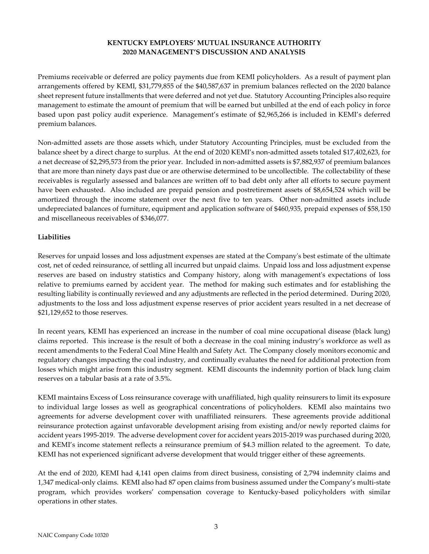Premiums receivable or deferred are policy payments due from KEMI policyholders. As a result of payment plan arrangements offered by KEMI, \$31,779,855 of the \$40,587,637 in premium balances reflected on the 2020 balance sheet represent future installments that were deferred and not yet due. Statutory Accounting Principles also require management to estimate the amount of premium that will be earned but unbilled at the end of each policy in force based upon past policy audit experience. Management's estimate of \$2,965,266 is included in KEMI's deferred premium balances.

Non-admitted assets are those assets which, under Statutory Accounting Principles, must be excluded from the balance sheet by a direct charge to surplus. At the end of 2020 KEMI's non-admitted assets totaled \$17,402,623, for a net decrease of \$2,295,573 from the prior year. Included in non-admitted assets is \$7,882,937 of premium balances that are more than ninety days past due or are otherwise determined to be uncollectible. The collectability of these receivables is regularly assessed and balances are written off to bad debt only after all efforts to secure payment have been exhausted. Also included are prepaid pension and postretirement assets of \$8,654,524 which will be amortized through the income statement over the next five to ten years. Other non-admitted assets include undepreciated balances of furniture, equipment and application software of \$460,935, prepaid expenses of \$58,150 and miscellaneous receivables of \$346,077.

### **Liabilities**

Reserves for unpaid losses and loss adjustment expenses are stated at the Company's best estimate of the ultimate cost, net of ceded reinsurance, of settling all incurred but unpaid claims. Unpaid loss and loss adjustment expense reserves are based on industry statistics and Company history, along with management's expectations of loss relative to premiums earned by accident year. The method for making such estimates and for establishing the resulting liability is continually reviewed and any adjustments are reflected in the period determined. During 2020, adjustments to the loss and loss adjustment expense reserves of prior accident years resulted in a net decrease of \$21,129,652 to those reserves.

In recent years, KEMI has experienced an increase in the number of coal mine occupational disease (black lung) claims reported. This increase is the result of both a decrease in the coal mining industry's workforce as well as recent amendments to the Federal Coal Mine Health and Safety Act. The Company closely monitors economic and regulatory changes impacting the coal industry, and continually evaluates the need for additional protection from losses which might arise from this industry segment. KEMI discounts the indemnity portion of black lung claim reserves on a tabular basis at a rate of 3.5%.

KEMI maintains Excess of Loss reinsurance coverage with unaffiliated, high quality reinsurers to limit its exposure to individual large losses as well as geographical concentrations of policyholders. KEMI also maintains two agreements for adverse development cover with unaffiliated reinsurers. These agreements provide additional reinsurance protection against unfavorable development arising from existing and/or newly reported claims for accident years 1995-2019. The adverse development cover for accident years 2015-2019 was purchased during 2020, and KEMI's income statement reflects a reinsurance premium of \$4.3 million related to the agreement. To date, KEMI has not experienced significant adverse development that would trigger either of these agreements.

At the end of 2020, KEMI had 4,141 open claims from direct business, consisting of 2,794 indemnity claims and 1,347 medical-only claims. KEMI also had 87 open claims from business assumed under the Company's multi-state program, which provides workers' compensation coverage to Kentucky-based policyholders with similar operations in other states.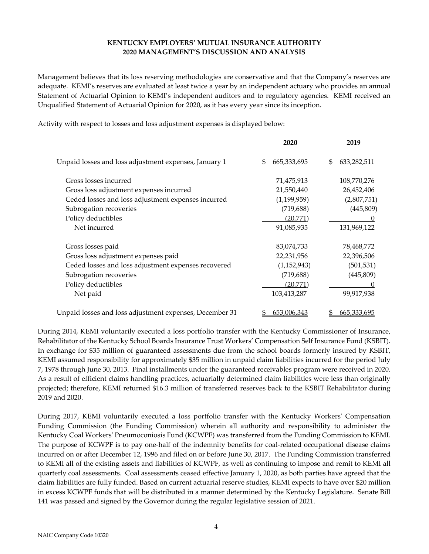Management believes that its loss reserving methodologies are conservative and that the Company's reserves are adequate. KEMI's reserves are evaluated at least twice a year by an independent actuary who provides an annual Statement of Actuarial Opinion to KEMI's independent auditors and to regulatory agencies. KEMI received an Unqualified Statement of Actuarial Opinion for 2020, as it has every year since its inception.

Activity with respect to losses and loss adjustment expenses is displayed below:

|                                                         | 2020              | 2019               |
|---------------------------------------------------------|-------------------|--------------------|
| Unpaid losses and loss adjustment expenses, January 1   | 665,333,695<br>\$ | \$<br>633,282,511  |
| Gross losses incurred                                   | 71,475,913        | 108,770,276        |
| Gross loss adjustment expenses incurred                 | 21,550,440        | 26,452,406         |
| Ceded losses and loss adjustment expenses incurred      | (1, 199, 959)     | (2,807,751)        |
| Subrogation recoveries                                  | (719, 688)        | (445, 809)         |
| Policy deductibles                                      | (20,771)          |                    |
| Net incurred                                            | 91,085,935        | <u>131,969,122</u> |
| Gross losses paid                                       | 83,074,733        | 78,468,772         |
| Gross loss adjustment expenses paid                     | 22,231,956        | 22,396,506         |
| Ceded losses and loss adjustment expenses recovered     | (1, 152, 943)     | (501, 531)         |
| Subrogation recoveries                                  | (719, 688)        | (445, 809)         |
| Policy deductibles                                      | (20,771)          |                    |
| Net paid                                                | 103,413,287       | 99,917,938         |
| Unpaid losses and loss adjustment expenses, December 31 | 653,006,343       | 665,333,695        |

During 2014, KEMI voluntarily executed a loss portfolio transfer with the Kentucky Commissioner of Insurance, Rehabilitator of the Kentucky School Boards Insurance Trust Workers' Compensation Self Insurance Fund (KSBIT). In exchange for \$35 million of guaranteed assessments due from the school boards formerly insured by KSBIT, KEMI assumed responsibility for approximately \$35 million in unpaid claim liabilities incurred for the period July 7, 1978 through June 30, 2013. Final installments under the guaranteed receivables program were received in 2020. As a result of efficient claims handling practices, actuarially determined claim liabilities were less than originally projected; therefore, KEMI returned \$16.3 million of transferred reserves back to the KSBIT Rehabilitator during 2019 and 2020.

During 2017, KEMI voluntarily executed a loss portfolio transfer with the Kentucky Workers' Compensation Funding Commission (the Funding Commission) wherein all authority and responsibility to administer the Kentucky Coal Workers' Pneumoconiosis Fund (KCWPF) was transferred from the Funding Commission to KEMI. The purpose of KCWPF is to pay one-half of the indemnity benefits for coal-related occupational disease claims incurred on or after December 12, 1996 and filed on or before June 30, 2017. The Funding Commission transferred to KEMI all of the existing assets and liabilities of KCWPF, as well as continuing to impose and remit to KEMI all quarterly coal assessments. Coal assessments ceased effective January 1, 2020, as both parties have agreed that the claim liabilities are fully funded. Based on current actuarial reserve studies, KEMI expects to have over \$20 million in excess KCWPF funds that will be distributed in a manner determined by the Kentucky Legislature. Senate Bill 141 was passed and signed by the Governor during the regular legislative session of 2021.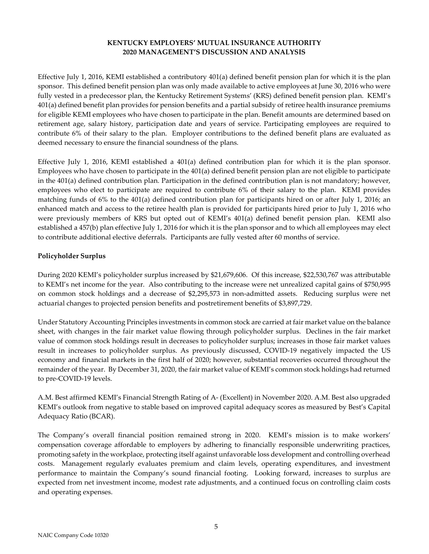Effective July 1, 2016, KEMI established a contributory 401(a) defined benefit pension plan for which it is the plan sponsor. This defined benefit pension plan was only made available to active employees at June 30, 2016 who were fully vested in a predecessor plan, the Kentucky Retirement Systems' (KRS) defined benefit pension plan. KEMI's 401(a) defined benefit plan provides for pension benefits and a partial subsidy of retiree health insurance premiums for eligible KEMI employees who have chosen to participate in the plan. Benefit amounts are determined based on retirement age, salary history, participation date and years of service. Participating employees are required to contribute 6% of their salary to the plan. Employer contributions to the defined benefit plans are evaluated as deemed necessary to ensure the financial soundness of the plans.

Effective July 1, 2016, KEMI established a 401(a) defined contribution plan for which it is the plan sponsor. Employees who have chosen to participate in the 401(a) defined benefit pension plan are not eligible to participate in the 401(a) defined contribution plan. Participation in the defined contribution plan is not mandatory; however, employees who elect to participate are required to contribute 6% of their salary to the plan. KEMI provides matching funds of 6% to the 401(a) defined contribution plan for participants hired on or after July 1, 2016; an enhanced match and access to the retiree health plan is provided for participants hired prior to July 1, 2016 who were previously members of KRS but opted out of KEMI's 401(a) defined benefit pension plan. KEMI also established a 457(b) plan effective July 1, 2016 for which it is the plan sponsor and to which all employees may elect to contribute additional elective deferrals. Participants are fully vested after 60 months of service.

### Policyholder Surplus

During 2020 KEMI's policyholder surplus increased by \$21,679,606. Of this increase, \$22,530,767 was attributable to KEMI's net income for the year. Also contributing to the increase were net unrealized capital gains of \$750,995 on common stock holdings and a decrease of \$2,295,573 in non-admitted assets. Reducing surplus were net actuarial changes to projected pension benefits and postretirement benefits of \$3,897,729.

Under Statutory Accounting Principles investments in common stock are carried at fair market value on the balance sheet, with changes in the fair market value flowing through policyholder surplus. Declines in the fair market value of common stock holdings result in decreases to policyholder surplus; increases in those fair market values result in increases to policyholder surplus. As previously discussed, COVID-19 negatively impacted the US economy and financial markets in the first half of 2020; however, substantial recoveries occurred throughout the remainder of the year. By December 31, 2020, the fair market value of KEMI's common stock holdings had returned to pre-COVID-19 levels.

A.M. Best affirmed KEMI's Financial Strength Rating of A- (Excellent) in November 2020. A.M. Best also upgraded KEMI's outlook from negative to stable based on improved capital adequacy scores as measured by Best's Capital Adequacy Ratio (BCAR).

The Company's overall financial position remained strong in 2020. KEMI's mission is to make workers' compensation coverage affordable to employers by adhering to financially responsible underwriting practices, promoting safety in the workplace, protecting itself against unfavorable loss development and controlling overhead costs. Management regularly evaluates premium and claim levels, operating expenditures, and investment performance to maintain the Company's sound financial footing. Looking forward, increases to surplus are expected from net investment income, modest rate adjustments, and a continued focus on controlling claim costs and operating expenses.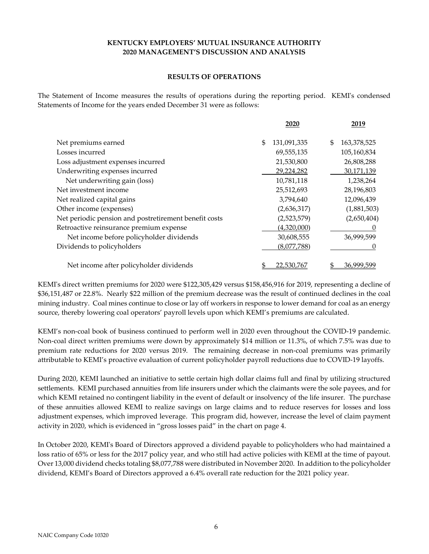#### RESULTS OF OPERATIONS

The Statement of Income measures the results of operations during the reporting period. KEMI's condensed Statements of Income for the years ended December 31 were as follows:

|                                                       | 2020              | 2019              |
|-------------------------------------------------------|-------------------|-------------------|
| Net premiums earned                                   | \$<br>131,091,335 | \$<br>163,378,525 |
| Losses incurred                                       | 69,555,135        | 105,160,834       |
| Loss adjustment expenses incurred                     | 21,530,800        | 26,808,288        |
| Underwriting expenses incurred                        | 29,224,282        | 30,171,139        |
| Net underwriting gain (loss)                          | 10,781,118        | 1,238,264         |
| Net investment income                                 | 25,512,693        | 28,196,803        |
| Net realized capital gains                            | 3,794,640         | 12,096,439        |
| Other income (expenses)                               | (2,636,317)       | (1,881,503)       |
| Net periodic pension and postretirement benefit costs | (2,523,579)       | (2,650,404)       |
| Retroactive reinsurance premium expense               | (4,320,000)       |                   |
| Net income before policyholder dividends              | 30,608,555        | 36,999,599        |
| Dividends to policyholders                            | (8,077,788)       |                   |
| Net income after policyholder dividends               | 22,530,767        | 36,999,599        |

KEMI's direct written premiums for 2020 were \$122,305,429 versus \$158,456,916 for 2019, representing a decline of \$36,151,487 or 22.8%. Nearly \$22 million of the premium decrease was the result of continued declines in the coal mining industry. Coal mines continue to close or lay off workers in response to lower demand for coal as an energy source, thereby lowering coal operators' payroll levels upon which KEMI's premiums are calculated.

KEMI's non-coal book of business continued to perform well in 2020 even throughout the COVID-19 pandemic. Non-coal direct written premiums were down by approximately \$14 million or 11.3%, of which 7.5% was due to premium rate reductions for 2020 versus 2019. The remaining decrease in non-coal premiums was primarily attributable to KEMI's proactive evaluation of current policyholder payroll reductions due to COVID-19 layoffs.

During 2020, KEMI launched an initiative to settle certain high dollar claims full and final by utilizing structured settlements. KEMI purchased annuities from life insurers under which the claimants were the sole payees, and for which KEMI retained no contingent liability in the event of default or insolvency of the life insurer. The purchase of these annuities allowed KEMI to realize savings on large claims and to reduce reserves for losses and loss adjustment expenses, which improved leverage. This program did, however, increase the level of claim payment activity in 2020, which is evidenced in "gross losses paid" in the chart on page 4.

In October 2020, KEMI's Board of Directors approved a dividend payable to policyholders who had maintained a loss ratio of 65% or less for the 2017 policy year, and who still had active policies with KEMI at the time of payout. Over 13,000 dividend checks totaling \$8,077,788 were distributed in November 2020. In addition to the policyholder dividend, KEMI's Board of Directors approved a 6.4% overall rate reduction for the 2021 policy year.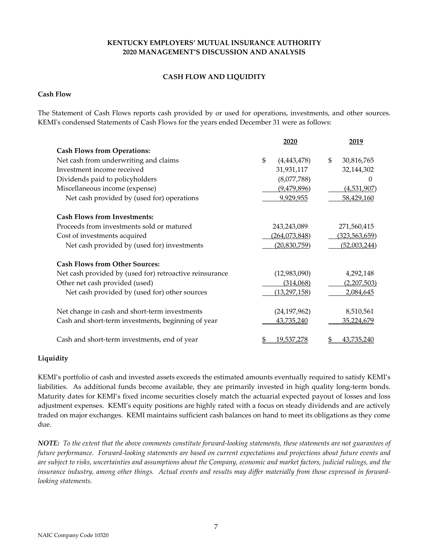## CASH FLOW AND LIQUIDITY

#### Cash Flow

The Statement of Cash Flows reports cash provided by or used for operations, investments, and other sources. KEMI's condensed Statements of Cash Flows for the years ended December 31 were as follows:

|                                                         | 2020                | 2019               |
|---------------------------------------------------------|---------------------|--------------------|
| <b>Cash Flows from Operations:</b>                      |                     |                    |
| Net cash from underwriting and claims                   | \$<br>(4, 443, 478) | \$<br>30,816,765   |
| Investment income received                              | 31,931,117          | 32,144,302         |
| Dividends paid to policyholders                         | (8,077,788)         | $\Omega$           |
| Miscellaneous income (expense)                          | (9,479,896)         | (4,531,907)        |
| Net cash provided by (used for) operations              | 9,929,955           | 58,429,160         |
| <b>Cash Flows from Investments:</b>                     |                     |                    |
| Proceeds from investments sold or matured               | 243,243,089         | 271,560,415        |
| Cost of investments acquired                            | (264, 073, 848)     | (323, 563, 659)    |
| Net cash provided by (used for) investments             | (20,830,759)        | (52,003,244)       |
| <b>Cash Flows from Other Sources:</b>                   |                     |                    |
| Net cash provided by (used for) retroactive reinsurance | (12,983,090)        | 4,292,148          |
| Other net cash provided (used)                          | (314,068)           | <u>(2,207,503)</u> |
| Net cash provided by (used for) other sources           | (13,297,158)        | 2,084,645          |
| Net change in cash and short-term investments           | (24, 197, 962)      | 8,510,561          |
| Cash and short-term investments, beginning of year      | 43,735,240          | 35,224,679         |
| Cash and short-term investments, end of year            | 19,537,278<br>\$    | <u>43,735,240</u>  |

#### Liquidity

KEMI's portfolio of cash and invested assets exceeds the estimated amounts eventually required to satisfy KEMI's liabilities. As additional funds become available, they are primarily invested in high quality long-term bonds. Maturity dates for KEMI's fixed income securities closely match the actuarial expected payout of losses and loss adjustment expenses. KEMI's equity positions are highly rated with a focus on steady dividends and are actively traded on major exchanges. KEMI maintains sufficient cash balances on hand to meet its obligations as they come due.

NOTE: To the extent that the above comments constitute forward-looking statements, these statements are not guarantees of future performance. Forward-looking statements are based on current expectations and projections about future events and are subject to risks, uncertainties and assumptions about the Company, economic and market factors, judicial rulings, and the insurance industry, among other things. Actual events and results may differ materially from those expressed in forwardlooking statements.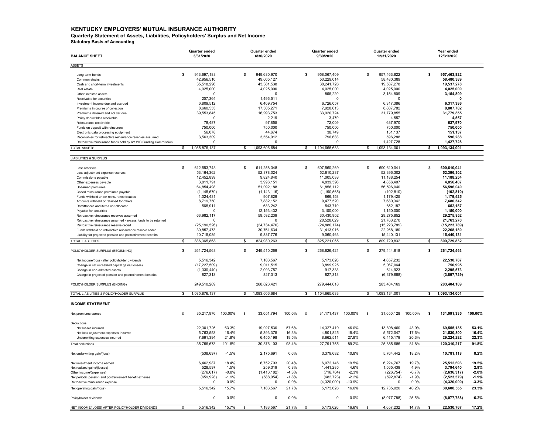#### KENTUCKY EMPLOYERS' MUTUAL INSURANCE AUTHORITY

Quarterly Statement of Assets, Liabilities, Policyholders' Surplus and Net Income

Statutory Basis of Accounting

| <b>BALANCE SHEET</b>                                           |     | Quarter ended<br>3/31/2020 |         |    | Quarter ended<br>6/30/2020 |         |    | Quarter ended<br>9/30/2020 |          |               | Quarter ended<br>12/31/2020 |          |              | Year ended<br>12/31/2020 |         |
|----------------------------------------------------------------|-----|----------------------------|---------|----|----------------------------|---------|----|----------------------------|----------|---------------|-----------------------------|----------|--------------|--------------------------|---------|
| <b>ASSETS</b>                                                  |     |                            |         |    |                            |         |    |                            |          |               |                             |          |              |                          |         |
| Long-term bonds                                                | \$  | 943,697,183                |         | \$ | 949,680,970                |         | \$ | 958,067,409                |          | \$            | 957,463,822                 |          | \$           | 957,463,822              |         |
| Common stocks                                                  |     | 42,956,510                 |         |    | 49,605,127                 |         |    | 53,229,014                 |          |               | 58,480,389                  |          |              | 58,480,389               |         |
| Cash and short-term investments                                |     | 35,518,296                 |         |    | 43,381,538                 |         |    | 38,241,726                 |          |               | 19,537,278                  |          |              | 19,537,278               |         |
| Real estate                                                    |     | 4,025,000                  |         |    | 4,025,000                  |         |    | 4,025,000                  |          |               | 4,025,000                   |          |              | 4,025,000                |         |
| Other invested assets                                          |     | $\Omega$                   |         |    | $\Omega$                   |         |    | 866,220                    |          |               | 3,154,809                   |          |              | 3,154,809                |         |
| Receivable for securities                                      |     | 207,364                    |         |    | 1,496,511                  |         |    | $\Omega$                   |          |               | $\Omega$                    |          |              | $\Omega$                 |         |
| Investment income due and accrued                              |     | 6,809,512                  |         |    | 6,469,754                  |         |    | 6,726,057                  |          |               | 6,317,386                   |          |              | 6,317,386                |         |
| Premiums in course of collection                               |     | 8,660,553                  |         |    | 17,505,271                 |         |    | 7,928,613                  |          |               | 8,807,782                   |          |              | 8,807,782                |         |
| Premiums deferred and not vet due                              |     | 39,553,845                 |         |    | 16,993,753                 |         |    | 33,920,724                 |          |               | 31,779,855                  |          |              | 31,779,855               |         |
| Policy deductibles receivable                                  |     | $\Omega$                   |         |    | 2,219                      |         |    | 3,479                      |          |               | 4,557                       |          |              | 4,557                    |         |
| Reinsurance receivable                                         |     | 78,487                     |         |    | 97,855                     |         |    | 72,009                     |          |               | 637,970                     |          |              | 637,970                  |         |
| Funds on deposit with reinsurers                               |     | 750,000                    |         |    | 750,000                    |         |    | 750,000                    |          |               | 750,000                     |          |              | 750.000                  |         |
| Electronic data processing equipment                           |     | 56.078                     |         |    | 44.674                     |         |    | 38.749                     |          |               | 151.137                     |          |              | 151,137                  |         |
| Receivables for retroactive reinsurance reserves assumed       |     | 3,563,309                  |         |    | 3,554,012                  |         |    | 796,683                    |          |               | 596,288                     |          |              | 596,288                  |         |
| Retroactive reinsurance funds held by KY WC Funding Commission |     | $\Omega$                   |         |    | $\Omega$                   |         |    | $\Omega$                   |          |               | 1,427,728                   |          |              | 1,427,728                |         |
| <b>TOTAL ASSETS</b>                                            | \$  | 1,085,876,137              |         | \$ | 1,093,606,684              |         | s. | 1,104,665,683              |          | $\mathbb{S}$  | 1,093,134,001               |          | $\mathbf{s}$ | 1,093,134,001            |         |
| <b>LIABILITIES &amp; SURPLUS</b>                               |     |                            |         |    |                            |         |    |                            |          |               |                             |          |              |                          |         |
|                                                                |     |                            |         |    |                            |         |    |                            |          |               |                             |          |              |                          |         |
| Loss reserves                                                  | \$  | 612,553,743                |         | \$ | 611,258,348                |         | \$ | 607,560,269                |          | \$            | 600,610,041                 |          | \$           | 600,610,041              |         |
| Loss adjustment expense reserves                               |     | 53, 164, 362               |         |    | 52,878,024                 |         |    | 52,610,237                 |          |               | 52,396,302                  |          |              | 52,396,302               |         |
| Commissions payable                                            |     | 12,452,899                 |         |    | 9,824,840                  |         |    | 11,005,088                 |          |               | 11,188,254                  |          |              | 11,188,254               |         |
| Other expenses payable                                         |     | 3,811,791                  |         |    | 3,996,151                  |         |    | 4,839,396                  |          |               | 4,856,407                   |          |              | 4,856,407                |         |
| Unearned premiums                                              |     | 64,854,498                 |         |    | 51,092,188                 |         |    | 61,856,112                 |          |               | 56,596,040                  |          |              | 56,596,040               |         |
| Ceded reinsurance premiums pavable                             |     | (1, 145, 670)              |         |    | (1, 143, 116)              |         |    | (1, 190, 565)              |          |               | (102, 810)                  |          |              | (102, 810)               |         |
| Funds withheld under reinsurance treaties                      |     | 1,024,431                  |         |    | 907,829                    |         |    | 866,153                    |          |               | 1,179,425                   |          |              | 1,179,425                |         |
| Amounts withheld or retained for others                        |     | 8,719,750                  |         |    | 7,882,152                  |         |    | 9,477,520                  |          |               | 7,680,342                   |          |              | 7,680,342                |         |
| Remittances and items not allocated                            |     | 565,911                    |         |    | 683,242                    |         |    | 543,719                    |          |               | 652,187                     |          |              | 652,187                  |         |
| Pavable for securities                                         |     | $\Omega$                   |         |    | 12, 153, 432               |         |    | 3,100,000                  |          |               | 1,150,000                   |          |              | 1,150,000                |         |
| Retroactive reinsurance reserves assumed                       |     | 63,982,117                 |         |    | 59,532,239                 |         |    | 30,430,902                 |          |               | 29,275,852                  |          |              | 29,275,852               |         |
| Retroactive reinsurance assumed - excess funds to be returned  |     | $\Omega$                   |         |    | $\Omega$                   |         |    | 28,528,029                 |          |               | 21,763,270                  |          |              | 21,763,270               |         |
| Retroactive reinsurance reserve ceded                          |     | (25, 190, 526)             |         |    | (24, 734, 476)             |         |    | (24, 880, 174)             |          |               | (15, 223, 789)              |          |              | (15, 223, 789)           |         |
| Funds withheld on retroactive reinsurance reserve ceded        |     | 30,857,473                 |         |    | 30,761,634                 |         |    | 31,413,916                 |          |               | 22,268,180                  |          |              | 22,268,180               |         |
| Liability for projected pension and postretirement benefits    |     | 10,715,089                 |         |    | 9,887,776                  |         |    | 9,060,463                  |          |               | 15,440,131                  |          |              | 15,440,131               |         |
| <b>TOTAL LIABILITIES</b>                                       | \$  | 836, 365, 868              |         | \$ | 824,980,263                |         | \$ | 825,221,065                |          | \$            | 809,729,832                 |          | \$           | 809,729,832              |         |
| POLICYHOLDER SURPLUS (BEGINNING)                               | \$  | 261,724,563                |         | \$ | 249,510,269                |         | \$ | 268,626,421                |          | \$            | 279,444,618                 |          | \$           | 261,724,563              |         |
| Net income/(loss) after policyholder dividends                 |     | 5,516,342                  |         |    | 7,183,567                  |         |    | 5,173,626                  |          |               | 4,657,232                   |          |              | 22,530,767               |         |
| Change in net unrealized capital gains/(losses)                |     | (17, 227, 509)             |         |    | 9,011,515                  |         |    | 3,899,925                  |          |               | 5,067,064                   |          |              | 750,995                  |         |
| Change in non-admitted assets                                  |     | (1,330,440)                |         |    | 2,093,757                  |         |    | 917,333                    |          |               | 614,923                     |          |              | 2,295,573                |         |
| Change in projected pension and postretirement benefits        |     | 827,313                    |         |    | 827,313                    |         |    | 827,313                    |          |               | (6,379,668)                 |          |              | (3,897,729)              |         |
|                                                                |     |                            |         |    |                            |         |    |                            |          |               |                             |          |              |                          |         |
| POLICYHOLDER SURPLUS (ENDING)                                  |     | 249,510,269                |         |    | 268,626,421                |         |    | 279,444,618                |          |               | 283,404,169                 |          |              | 283,404,169              |         |
| TOTAL LIABILITIES & POLICYHOLDER SURPLUS                       | s.  | 1,085,876,137              |         | \$ | 1,093,606,684              |         | £. | 1,104,665,683              |          | \$            | 1,093,134,001               |          | s.           | 1,093,134,001            |         |
| <b>INCOME STATEMENT</b>                                        |     |                            |         |    |                            |         |    |                            |          |               |                             |          |              |                          |         |
| Net premiums earned                                            | \$. | 35,217,976                 | 100.00% | s  | 33,051,794                 | 100.0%  | \$ | 31,171,437                 | 100.00%  | \$            | 31,650,128                  | 100.00%  | \$           | 131,091,335              | 100.00% |
| Deductions:                                                    |     |                            |         |    |                            |         |    |                            |          |               |                             |          |              |                          |         |
| Net losses incurred                                            |     | 22,301,726                 | 63.3%   |    | 19,027,530                 | 57.6%   |    | 14,327,419                 | 46.0%    |               | 13,898,460                  | 43.9%    |              | 69,555,135               | 53.1%   |
| Net loss adjustment expenses incurred                          |     | 5,763,553                  | 16.4%   |    | 5,393,375                  | 16.3%   |    | 4,801,825                  | 15.4%    |               | 5,572,047                   | 17.6%    |              | 21,530,800               | 16.4%   |
| Underwriting expenses incurred                                 |     | 7,691,394                  | 21.8%   |    | 6,455,198                  | 19.5%   |    | 8,662,511                  | 27.8%    |               | 6,415,179                   | 20.3%    |              | 29,224,282               | 22.3%   |
| <b>Total deductions</b>                                        |     | 35,756,673                 | 101.5%  |    | 30,876,103                 | 93.4%   |    | 27.791.755                 | 89.2%    |               | 25,885,686                  | 81.8%    |              | 120,310,217              | 91.8%   |
| Net underwriting gain/(loss)                                   |     | (538, 697)                 | $-1.5%$ |    | 2,175,691                  | 6.6%    |    | 3,379,682                  | 10.8%    |               | 5,764,442                   | 18.2%    |              | 10,781,118               | 8.2%    |
| Net investment income earned                                   |     | 6,462,987                  | 18.4%   |    | 6,752,793                  | 20.4%   |    | 6,072,146                  | 19.5%    |               | 6,224,767                   | 19.7%    |              | 25,512,693               | 19.5%   |
| Net realized gains/(losses)                                    |     | 528,597                    | 1.5%    |    | 259,319                    | 0.8%    |    | 1,441,285                  | 4.6%     |               | 1,565,439                   | 4.9%     |              | 3,794,640                | 2.9%    |
| Other income/(expenses)                                        |     | (276, 617)                 | $-0.8%$ |    | (1, 416, 182)              | $-4.3%$ |    | (716, 764)                 | $-2.3%$  |               | (226, 754)                  | $-0.7%$  |              | (2,636,317)              | $-2.0%$ |
| Net periodic pension and postretirement benefit expense        |     | (659, 928)                 | $-1.9%$ |    | (588, 054)                 | $-1.8%$ |    | (682, 723)                 | $-2.2%$  |               | (592, 874)                  | $-1.9%$  |              | (2,523,579)              | $-1.9%$ |
| Retroactive reinsurance expense                                |     | $\Omega$                   | 0.0%    |    | $\Omega$                   | 0.0%    |    | (4,320,000)                | $-13.9%$ |               | $\Omega$                    | 0.0%     |              | (4,320,000)              | $-3.3%$ |
| Net operating gain/(loss)                                      |     | 5,516,342                  | 15.7%   |    | 7,183,567                  | 21.7%   |    | 5,173,626                  | 16.6%    |               | 12,735,020                  | 40.2%    |              | 30,608,555               | 23.3%   |
| Policyholder dividends                                         |     | $\Omega$                   | 0.0%    |    | $\pmb{0}$                  | 0.0%    |    | $\mathsf 0$                | 0.0%     |               | (8,077,788)                 | $-25.5%$ |              | (8,077,788)              | $-6.2%$ |
| NET INCOME/(LOSS) AFTER POLICYHOLDER DIVIDENDS                 | \$  | 5,516,342                  | 15.7%   | s  | 7,183,567                  | 21.7%   |    | 5,173,626                  | 16.6%    | <sub>\$</sub> | 4,657,232                   | 14.7%    | Ŝ.           | 22,530,767               | 17.2%   |
|                                                                |     |                            |         |    |                            |         |    |                            |          |               |                             |          |              |                          |         |